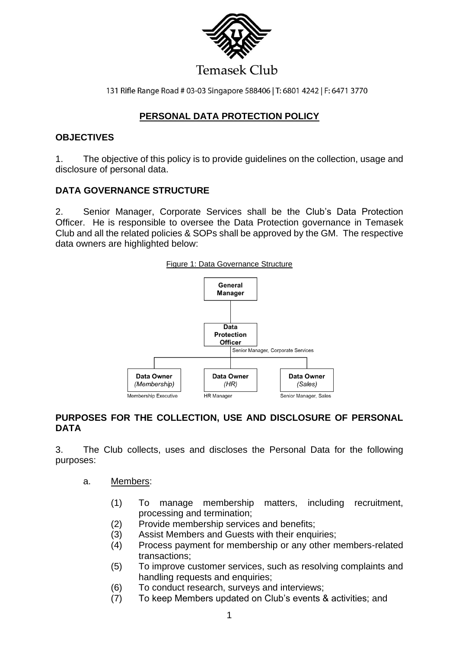

131 Rifle Range Road # 03-03 Singapore 588406 | T: 6801 4242 | F: 6471 3770

## **PERSONAL DATA PROTECTION POLICY**

### **OBJECTIVES**

1. The objective of this policy is to provide guidelines on the collection, usage and disclosure of personal data.

### **DATA GOVERNANCE STRUCTURE**

2. Senior Manager, Corporate Services shall be the Club's Data Protection Officer. He is responsible to oversee the Data Protection governance in Temasek Club and all the related policies & SOPs shall be approved by the GM. The respective data owners are highlighted below:



## **PURPOSES FOR THE COLLECTION, USE AND DISCLOSURE OF PERSONAL DATA**

3. The Club collects, uses and discloses the Personal Data for the following purposes:

- a. Members:
	- (1) To manage membership matters, including recruitment, processing and termination;
	- (2) Provide membership services and benefits;
	- (3) Assist Members and Guests with their enquiries;
	- (4) Process payment for membership or any other members-related transactions;
	- (5) To improve customer services, such as resolving complaints and handling requests and enquiries;
	- (6) To conduct research, surveys and interviews;
	- (7) To keep Members updated on Club's events & activities; and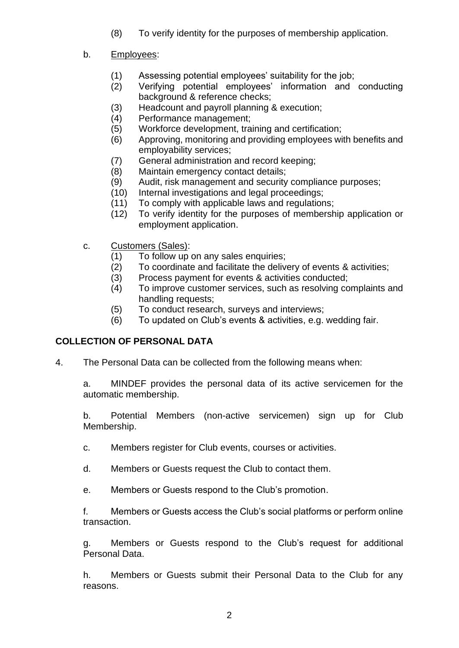(8) To verify identity for the purposes of membership application.

## b. Employees:

- (1) Assessing potential employees' suitability for the job;
- (2) Verifying potential employees' information and conducting background & reference checks;
- (3) Headcount and payroll planning & execution;
- (4) Performance management;
- (5) Workforce development, training and certification;
- (6) Approving, monitoring and providing employees with benefits and employability services;
- (7) General administration and record keeping;
- (8) Maintain emergency contact details;
- (9) Audit, risk management and security compliance purposes;
- (10) Internal investigations and legal proceedings;
- (11) To comply with applicable laws and regulations;
- (12) To verify identity for the purposes of membership application or employment application.
- c. Customers (Sales):
	- (1) To follow up on any sales enquiries;
	- (2) To coordinate and facilitate the delivery of events & activities;
	- (3) Process payment for events & activities conducted;
	- (4) To improve customer services, such as resolving complaints and handling requests;
	- (5) To conduct research, surveys and interviews;
	- (6) To updated on Club's events & activities, e.g. wedding fair.

# **COLLECTION OF PERSONAL DATA**

4. The Personal Data can be collected from the following means when:

a. MINDEF provides the personal data of its active servicemen for the automatic membership.

b. Potential Members (non-active servicemen) sign up for Club Membership.

- c. Members register for Club events, courses or activities.
- d. Members or Guests request the Club to contact them.
- e. Members or Guests respond to the Club's promotion.

f. Members or Guests access the Club's social platforms or perform online transaction.

g. Members or Guests respond to the Club's request for additional Personal Data.

h. Members or Guests submit their Personal Data to the Club for any reasons.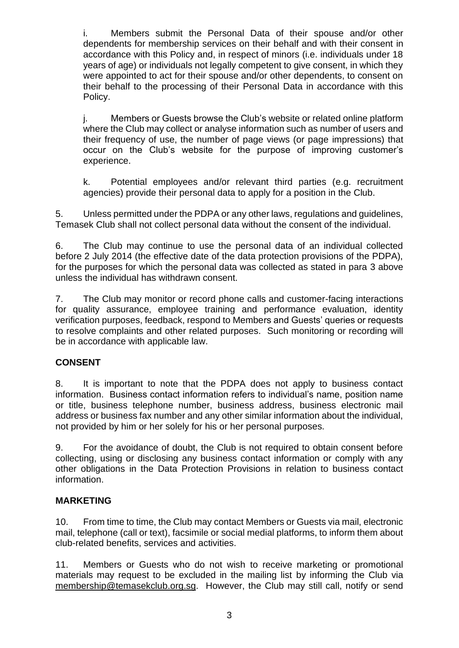i. Members submit the Personal Data of their spouse and/or other dependents for membership services on their behalf and with their consent in accordance with this Policy and, in respect of minors (i.e. individuals under 18 years of age) or individuals not legally competent to give consent, in which they were appointed to act for their spouse and/or other dependents, to consent on their behalf to the processing of their Personal Data in accordance with this Policy.

j. Members or Guests browse the Club's website or related online platform where the Club may collect or analyse information such as number of users and their frequency of use, the number of page views (or page impressions) that occur on the Club's website for the purpose of improving customer's experience.

k. Potential employees and/or relevant third parties (e.g. recruitment agencies) provide their personal data to apply for a position in the Club.

5. Unless permitted under the PDPA or any other laws, regulations and guidelines, Temasek Club shall not collect personal data without the consent of the individual.

6. The Club may continue to use the personal data of an individual collected before 2 July 2014 (the effective date of the data protection provisions of the PDPA), for the purposes for which the personal data was collected as stated in para 3 above unless the individual has withdrawn consent.

7. The Club may monitor or record phone calls and customer-facing interactions for quality assurance, employee training and performance evaluation, identity verification purposes, feedback, respond to Members and Guests' queries or requests to resolve complaints and other related purposes. Such monitoring or recording will be in accordance with applicable law.

# **CONSENT**

8. It is important to note that the PDPA does not apply to business contact information. Business contact information refers to individual's name, position name or title, business telephone number, business address, business electronic mail address or business fax number and any other similar information about the individual, not provided by him or her solely for his or her personal purposes.

9. For the avoidance of doubt, the Club is not required to obtain consent before collecting, using or disclosing any business contact information or comply with any other obligations in the Data Protection Provisions in relation to business contact information.

#### **MARKETING**

10. From time to time, the Club may contact Members or Guests via mail, electronic mail, telephone (call or text), facsimile or social medial platforms, to inform them about club-related benefits, services and activities.

11. Members or Guests who do not wish to receive marketing or promotional materials may request to be excluded in the mailing list by informing the Club via [membership@temasekclub.org.sg.](mailto:membership@temasekclub.org.sg) However, the Club may still call, notify or send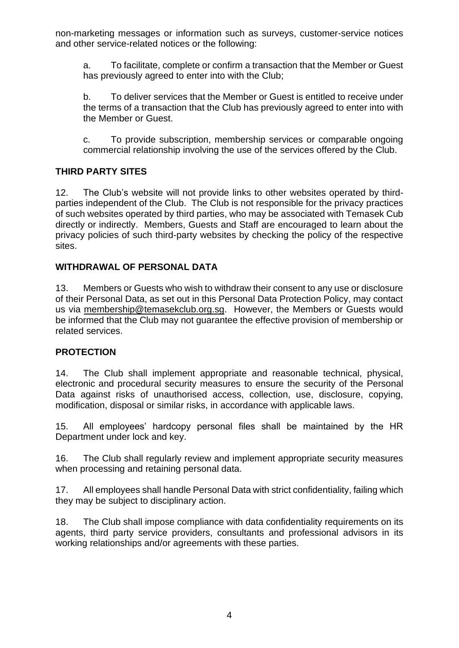non-marketing messages or information such as surveys, customer-service notices and other service-related notices or the following:

a. To facilitate, complete or confirm a transaction that the Member or Guest has previously agreed to enter into with the Club;

b. To deliver services that the Member or Guest is entitled to receive under the terms of a transaction that the Club has previously agreed to enter into with the Member or Guest.

c. To provide subscription, membership services or comparable ongoing commercial relationship involving the use of the services offered by the Club.

# **THIRD PARTY SITES**

12. The Club's website will not provide links to other websites operated by thirdparties independent of the Club. The Club is not responsible for the privacy practices of such websites operated by third parties, who may be associated with Temasek Cub directly or indirectly. Members, Guests and Staff are encouraged to learn about the privacy policies of such third-party websites by checking the policy of the respective sites.

## **WITHDRAWAL OF PERSONAL DATA**

13. Members or Guests who wish to withdraw their consent to any use or disclosure of their Personal Data, as set out in this Personal Data Protection Policy, may contact us via [membership@temasekclub.org.sg.](mailto:membership@temasekclub.org.sg) However, the Members or Guests would be informed that the Club may not guarantee the effective provision of membership or related services.

## **PROTECTION**

14. The Club shall implement appropriate and reasonable technical, physical, electronic and procedural security measures to ensure the security of the Personal Data against risks of unauthorised access, collection, use, disclosure, copying, modification, disposal or similar risks, in accordance with applicable laws.

15. All employees' hardcopy personal files shall be maintained by the HR Department under lock and key.

16. The Club shall regularly review and implement appropriate security measures when processing and retaining personal data.

17. All employees shall handle Personal Data with strict confidentiality, failing which they may be subject to disciplinary action.

18. The Club shall impose compliance with data confidentiality requirements on its agents, third party service providers, consultants and professional advisors in its working relationships and/or agreements with these parties.